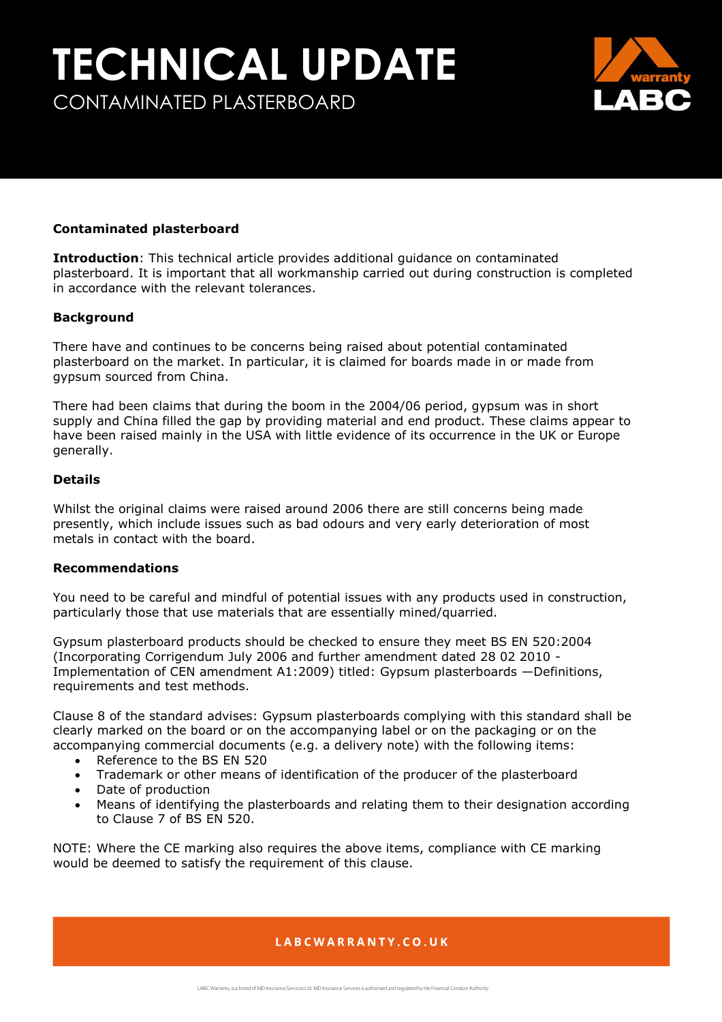## **TECHNICAL UPDATE** CONTAMINATED PLASTERBOARD



#### **Contaminated plasterboard**

**Introduction**: This technical article provides additional guidance on contaminated plasterboard. It is important that all workmanship carried out during construction is completed in accordance with the relevant tolerances.

#### **Background**

There have and continues to be concerns being raised about potential contaminated plasterboard on the market. In particular, it is claimed for boards made in or made from gypsum sourced from China.

There had been claims that during the boom in the 2004/06 period, gypsum was in short supply and China filled the gap by providing material and end product. These claims appear to have been raised mainly in the USA with little evidence of its occurrence in the UK or Europe generally.

#### **Details**

Whilst the original claims were raised around 2006 there are still concerns being made presently, which include issues such as bad odours and very early deterioration of most metals in contact with the board.

#### **Recommendations**

You need to be careful and mindful of potential issues with any products used in construction, particularly those that use materials that are essentially mined/quarried.

Gypsum plasterboard products should be checked to ensure they meet BS EN 520:2004 (Incorporating Corrigendum July 2006 and further amendment dated 28 02 2010 - Implementation of CEN amendment A1:2009) titled: Gypsum plasterboards —Definitions, requirements and test methods.

Clause 8 of the standard advises: Gypsum plasterboards complying with this standard shall be clearly marked on the board or on the accompanying label or on the packaging or on the accompanying commercial documents (e.g. a delivery note) with the following items:

- Reference to the BS EN 520
- Trademark or other means of identification of the producer of the plasterboard
- Date of production
- Means of identifying the plasterboards and relating them to their designation according to Clause 7 of BS EN 520.

NOTE: Where the CE marking also requires the above items, compliance with CE marking would be deemed to satisfy the requirement of this clause.

## LABCWARRANTY.CO.UK